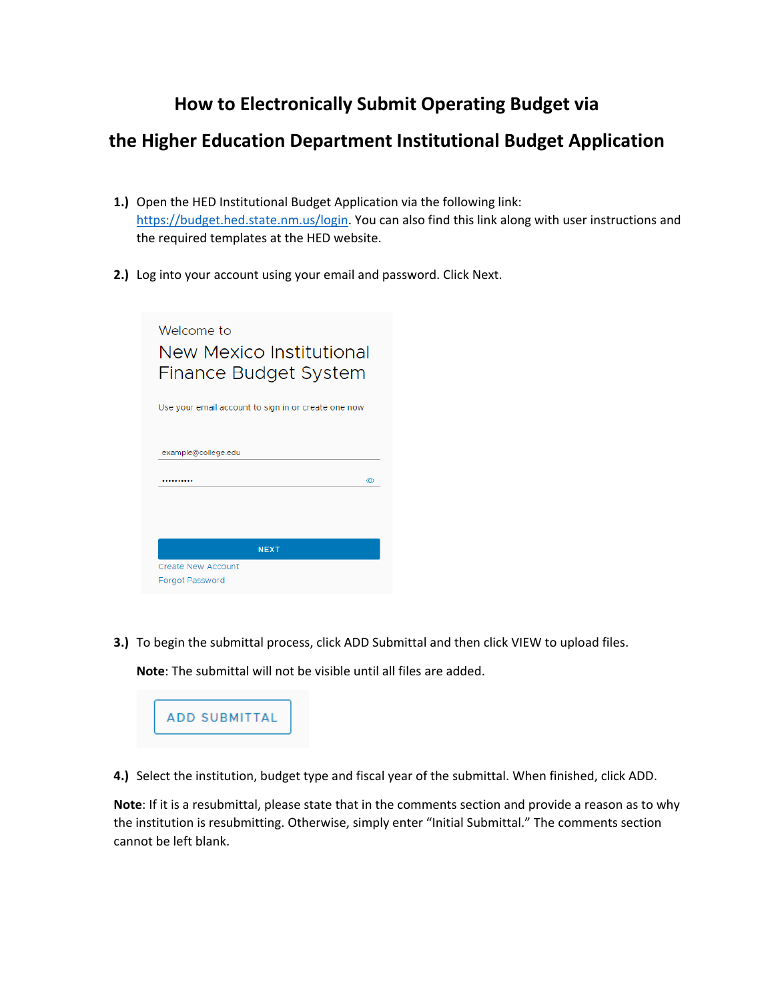# **How to Electronically Submit Operating Budget via**

## **the Higher Education Department Institutional Budget Application**

- **1.)** Open the HED Institutional Budget Application via the following link: [https://budget.hed.state.nm.us/login.](https://budget.hed.state.nm.us/login) You can also find this link along with user instructions and the required templates at the HED website.
- **2.)** Log into your account using your email and password. Click Next.

| Welcome to<br>New Mexico Institutional<br>Finance Budget System |  |  |  |
|-----------------------------------------------------------------|--|--|--|
| Use your email account to sign in or create one now             |  |  |  |
| example@college.edu<br>ത<br>                                    |  |  |  |
| <b>NEXT</b>                                                     |  |  |  |
| <b>Create New Account</b><br><b>Forgot Password</b>             |  |  |  |

**3.)** To begin the submittal process, click ADD Submittal and then click VIEW to upload files.

**Note**: The submittal will not be visible until all files are added.



**4.)** Select the institution, budget type and fiscal year of the submittal. When finished, click ADD.

**Note**: If it is a resubmittal, please state that in the comments section and provide a reason as to why the institution is resubmitting. Otherwise, simply enter "Initial Submittal." The comments section cannot be left blank.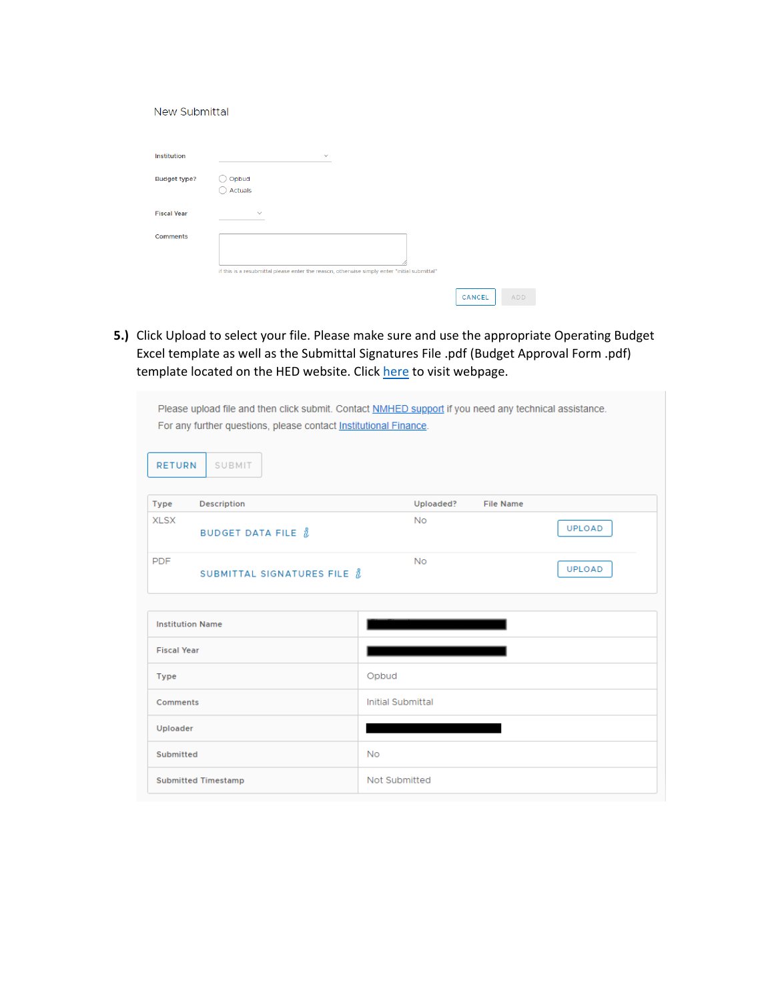#### New Submittal

| <b>Institution</b>  | $\checkmark$                                                                                 |        |     |
|---------------------|----------------------------------------------------------------------------------------------|--------|-----|
| <b>Budget type?</b> | Opbud<br>Actuals                                                                             |        |     |
| <b>Fiscal Year</b>  | $\checkmark$                                                                                 |        |     |
| <b>Comments</b>     | if this is a resubmittal please enter the reason, otherwise simply enter "initial submittal" |        |     |
|                     |                                                                                              | CANCEL | ADD |

**5.)** Click Upload to select your file. Please make sure and use the appropriate Operating Budget Excel template as well as the Submittal Signatures File .pdf (Budget Approval Form .pdf) template located on the HED website. Click [here](https://hed.state.nm.us/resources-for-schools/institutional-finance/operating-budgets-and-bars) to visit webpage.

| Please upload file and then click submit. Contact NMHED support if you need any technical assistance. |                               |  |  |
|-------------------------------------------------------------------------------------------------------|-------------------------------|--|--|
| For any further questions, please contact Institutional Finance.                                      |                               |  |  |
|                                                                                                       |                               |  |  |
|                                                                                                       |                               |  |  |
| <b>RETURN</b><br>SUBMIT                                                                               |                               |  |  |
|                                                                                                       |                               |  |  |
| Description<br><b>Type</b>                                                                            | Uploaded?<br><b>File Name</b> |  |  |
| <b>XLSX</b>                                                                                           | <b>No</b>                     |  |  |
| <b>BUDGET DATA FILE <math>\hbar</math></b>                                                            | <b>UPLOAD</b>                 |  |  |
|                                                                                                       |                               |  |  |
| <b>PDF</b><br>SUBMITTAL SIGNATURES FILE $\hbar$                                                       | <b>No</b><br><b>UPLOAD</b>    |  |  |
|                                                                                                       |                               |  |  |
|                                                                                                       |                               |  |  |
| <b>Institution Name</b>                                                                               |                               |  |  |
|                                                                                                       |                               |  |  |
| <b>Fiscal Year</b>                                                                                    |                               |  |  |
| <b>Type</b>                                                                                           | Opbud                         |  |  |
|                                                                                                       |                               |  |  |
| Comments                                                                                              | <b>Initial Submittal</b>      |  |  |
| Uploader                                                                                              |                               |  |  |
|                                                                                                       |                               |  |  |
| Submitted                                                                                             | <b>No</b>                     |  |  |
| <b>Submitted Timestamp</b>                                                                            | Not Submitted                 |  |  |
|                                                                                                       |                               |  |  |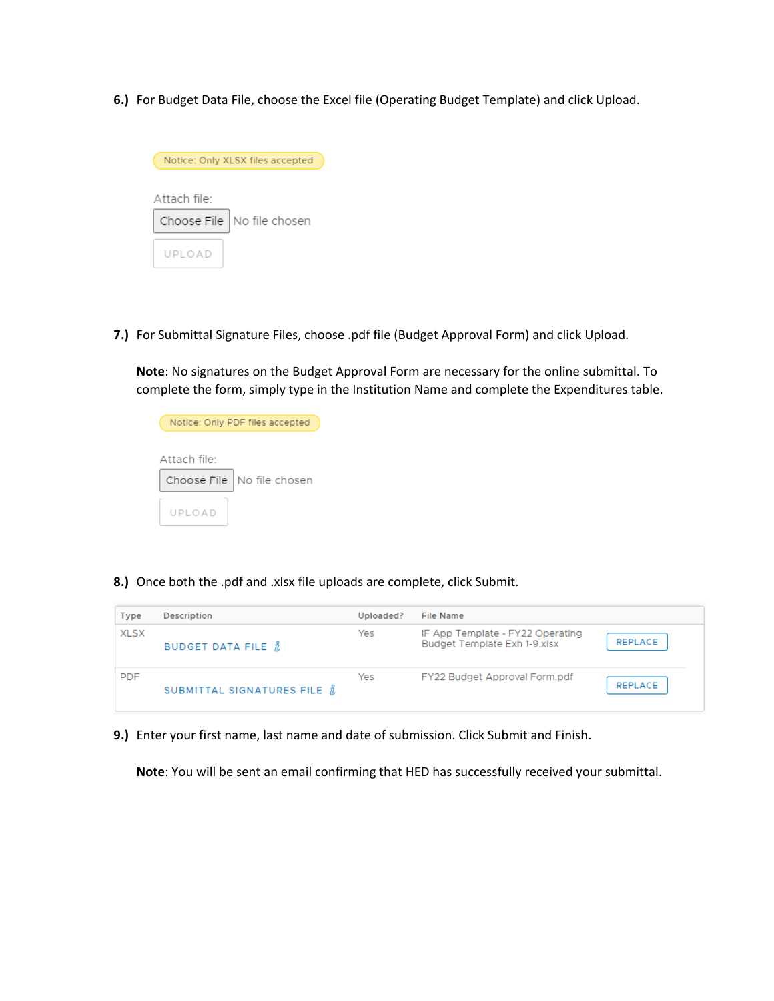**6.)** For Budget Data File, choose the Excel file (Operating Budget Template) and click Upload.



**7.)** For Submittal Signature Files, choose .pdf file (Budget Approval Form) and click Upload.

**Note**: No signatures on the Budget Approval Form are necessary for the online submittal. To complete the form, simply type in the Institution Name and complete the Expenditures table.

|                          | Notice: Only PDF files accepted |
|--------------------------|---------------------------------|
|                          |                                 |
| Attach file <sup>.</sup> |                                 |
| Choose File              | No file chosen                  |
|                          |                                 |
| UPLOAD                   |                                 |

**8.)** Once both the .pdf and .xlsx file uploads are complete, click Submit.

| <b>Type</b> | <b>Description</b>                | Uploaded? | <b>File Name</b>                                                            |
|-------------|-----------------------------------|-----------|-----------------------------------------------------------------------------|
| <b>XLSX</b> | BUDGET DATA FILE $\hbar$          | Yes       | IF App Template - FY22 Operating<br>REPLACE<br>Budget Template Exh 1-9.xlsx |
| <b>PDF</b>  | SUBMITTAL SIGNATURES FILE $\hbar$ | Yes       | FY22 Budget Approval Form.pdf<br>REPLACE                                    |

**9.)** Enter your first name, last name and date of submission. Click Submit and Finish.

**Note**: You will be sent an email confirming that HED has successfully received your submittal.